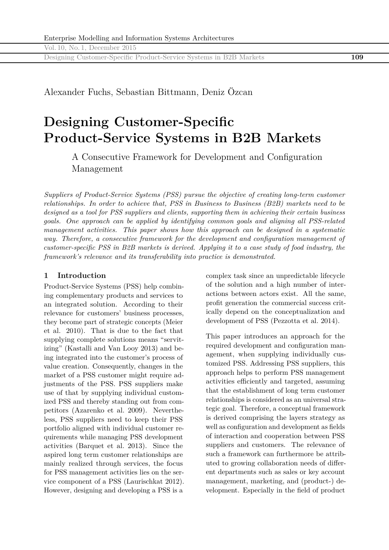Designing Customer-Specific Product-Service Systems in B2B Markets **109**

Alexander Fuchs, Sebastian Bittmann, Deniz Özcan

# **Designing Customer-Specific Product-Service Systems in B2B Markets**

A Consecutive Framework for Development and Configuration Management

*Suppliers of Product-Service Systems (PSS) pursue the objective of creating long-term customer relationships. In order to achieve that, PSS in Business to Business (B2B) markets need to be designed as a tool for PSS suppliers and clients, supporting them in achieving their certain business goals. One approach can be applied by identifying common goals and aligning all PSS-related management activities. This paper shows how this approach can be designed in a systematic way. Therefore, a consecutive framework for the development and configuration management of customer-specific PSS in B2B markets is derived. Applying it to a case study of food industry, the framework's relevance and its transferability into practice is demonstrated.*

# **1 Introduction**

Product-Service Systems (PSS) help combining complementary products and services to an integrated solution. According to their relevance for customers' business processes, they become part of strategic concepts (Meier et al. 2010). That is due to the fact that supplying complete solutions means "servitizing" (Kastalli and Van Looy 2013) and being integrated into the customer's process of value creation. Consequently, changes in the market of a PSS customer might require adjustments of the PSS. PSS suppliers make use of that by supplying individual customized PSS and thereby standing out from competitors (Azarenko et al. 2009). Nevertheless, PSS suppliers need to keep their PSS portfolio aligned with individual customer requirements while managing PSS development activities (Barquet et al. 2013). Since the aspired long term customer relationships are mainly realized through services, the focus for PSS management activities lies on the service component of a PSS (Laurischkat 2012). However, designing and developing a PSS is a

complex task since an unpredictable lifecycle of the solution and a high number of interactions between actors exist. All the same, profit generation the commercial success critically depend on the conceptualization and development of PSS (Pezzotta et al. 2014).

This paper introduces an approach for the required development and configuration management, when supplying individually customized PSS. Addressing PSS suppliers, this approach helps to perform PSS management activities efficiently and targeted, assuming that the establishment of long term customer relationships is considered as an universal strategic goal. Therefore, a conceptual framework is derived comprising the layers strategy as well as configuration and development as fields of interaction and cooperation between PSS suppliers and customers. The relevance of such a framework can furthermore be attributed to growing collaboration needs of different departments such as sales or key account management, marketing, and (product-) development. Especially in the field of product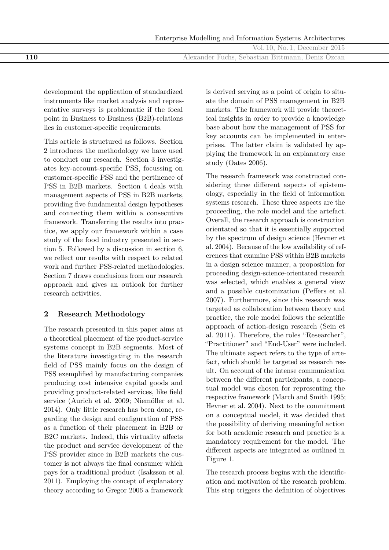|  |  | Enterprise Modelling and Information Systems Architectures |
|--|--|------------------------------------------------------------|
|  |  |                                                            |

Vol. 10, No. 1, December 2015 **110** Alexander Fuchs, Sebastian Bittmann, Deniz Özcan

development the application of standardized instruments like market analysis and representative surveys is problematic if the focal point in Business to Business (B2B)-relations lies in customer-specific requirements.

This article is structured as follows. Section 2 introduces the methodology we have used to conduct our research. Section 3 investigates key-account-specific PSS, focussing on customer-specific PSS and the pertinence of PSS in B2B markets. Section 4 deals with management aspects of PSS in B2B markets, providing five fundamental design hypotheses and connecting them within a consecutive framework. Transferring the results into practice, we apply our framework within a case study of the food industry presented in section 5. Followed by a discussion in section 6, we reflect our results with respect to related work and further PSS-related methodologies. Section 7 draws conclusions from our research approach and gives an outlook for further research activities.

# **2 Research Methodology**

The research presented in this paper aims at a theoretical placement of the product-service systems concept in B2B segments. Most of the literature investigating in the research field of PSS mainly focus on the design of PSS exemplified by manufacturing companies producing cost intensive capital goods and providing product-related services, like field service (Aurich et al. 2009; Niemöller et al. 2014). Only little research has been done, regarding the design and configuration of PSS as a function of their placement in B2B or B2C markets. Indeed, this virtuality affects the product and service development of the PSS provider since in B2B markets the customer is not always the final consumer which pays for a traditional product (Isaksson et al. 2011). Employing the concept of explanatory theory according to Gregor 2006 a framework

is derived serving as a point of origin to situate the domain of PSS management in B2B markets. The framework will provide theoretical insights in order to provide a knowledge base about how the management of PSS for key accounts can be implemented in enterprises. The latter claim is validated by applying the framework in an explanatory case study (Oates 2006).

The research framework was constructed considering three different aspects of epistemology, especially in the field of information systems research. These three aspects are the proceeding, the role model and the artefact. Overall, the research approach is construction orientated so that it is essentially supported by the spectrum of design science (Hevner et al. 2004). Because of the low availability of references that examine PSS within B2B markets in a design science manner, a proposition for proceeding design-science-orientated research was selected, which enables a general view and a possible customization (Peffers et al. 2007). Furthermore, since this research was targeted as collaboration between theory and practice, the role model follows the scientific approach of action-design research (Sein et al. 2011). Therefore, the roles "Researcher", "Practitioner" and "End-User" were included. The ultimate aspect refers to the type of artefact, which should be targeted as research result. On account of the intense communication between the different participants, a conceptual model was chosen for representing the respective framework (March and Smith 1995; Hevner et al. 2004). Next to the commitment on a conceptual model, it was decided that the possibility of deriving meaningful action for both academic research and practice is a mandatory requirement for the model. The different aspects are integrated as outlined in Figure 1.

The research process begins with the identification and motivation of the research problem. This step triggers the definition of objectives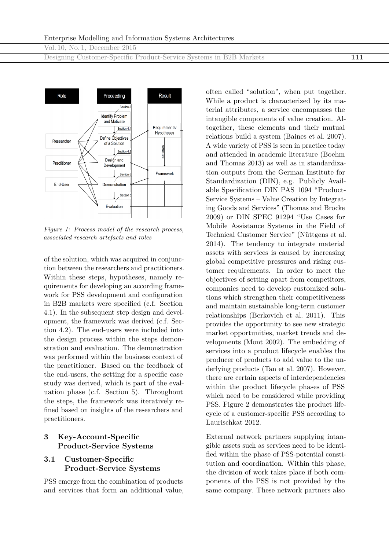Designing Customer-Specific Product-Service Systems in B2B Markets **111**



*Figure 1: Process model of the research process, associated research artefacts and roles*

of the solution, which was acquired in conjunction between the researchers and practitioners. Within these steps, hypotheses, namely requirements for developing an according framework for PSS development and configuration in B2B markets were specified (c.f. Section 4.1). In the subsequent step design and development, the framework was derived (c.f. Section 4.2). The end-users were included into the design process within the steps demonstration and evaluation. The demonstration was performed within the business context of the practitioner. Based on the feedback of the end-users, the setting for a specific case study was derived, which is part of the evaluation phase (c.f. Section 5). Throughout the steps, the framework was iteratively refined based on insights of the researchers and practitioners.

# **3 Key-Account-Specific Product-Service Systems**

## **3.1 Customer-Specific Product-Service Systems**

PSS emerge from the combination of products and services that form an additional value, often called "solution", when put together. While a product is characterized by its material attributes, a service encompasses the intangible components of value creation. Altogether, these elements and their mutual relations build a system (Baines et al. 2007). A wide variety of PSS is seen in practice today and attended in academic literature (Boehm and Thomas 2013) as well as in standardization outputs from the German Institute for Standardization (DIN), e.g. Publicly Available Specification DIN PAS 1094 "Product-Service Systems – Value Creation by Integrating Goods and Services" (Thomas and Brocke 2009) or DIN SPEC 91294 "Use Cases for Mobile Assistance Systems in the Field of Technical Customer Service" (Nüttgens et al. 2014). The tendency to integrate material assets with services is caused by increasing global competitive pressures and rising customer requirements. In order to meet the objectives of setting apart from competitors, companies need to develop customized solutions which strengthen their competitiveness and maintain sustainable long-term customer relationships (Berkovich et al. 2011). This provides the opportunity to see new strategic market opportunities, market trends and developments (Mont 2002). The embedding of services into a product lifecycle enables the producer of products to add value to the underlying products (Tan et al. 2007). However, there are certain aspects of interdependencies within the product lifecycle phases of PSS which need to be considered while providing PSS. Figure 2 demonstrates the product lifecycle of a customer-specific PSS according to Laurischkat 2012.

External network partners supplying intangible assets such as services need to be identified within the phase of PSS-potential constitution and coordination. Within this phase, the division of work takes place if both components of the PSS is not provided by the same company. These network partners also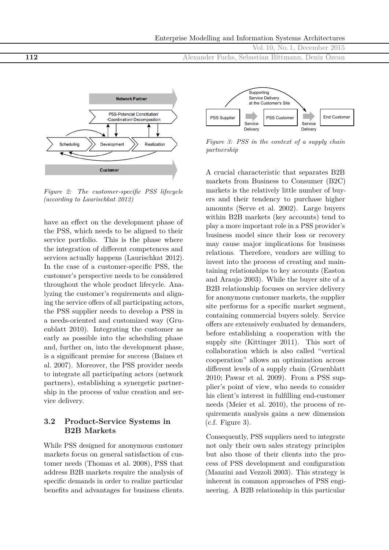

*Figure 2: The customer-specific PSS lifecycle (according to Laurischkat 2012)*

have an effect on the development phase of the PSS, which needs to be aligned to their service portfolio. This is the phase where the integration of different competences and services actually happens (Laurischkat 2012). In the case of a customer-specific PSS, the customer's perspective needs to be considered throughout the whole product lifecycle. Analyzing the customer's requirements and aligning the service offers of all participating actors, the PSS supplier needs to develop a PSS in a needs-oriented and customized way (Gruenblatt 2010). Integrating the customer as early as possible into the scheduling phase and, further on, into the development phase, is a significant premise for success (Baines et al. 2007). Moreover, the PSS provider needs to integrate all participating actors (network partners), establishing a synergetic partnership in the process of value creation and service delivery.

## **3.2 Product-Service Systems in B2B Markets**

While PSS designed for anonymous customer markets focus on general satisfaction of customer needs (Thomas et al. 2008), PSS that address B2B markets require the analysis of specific demands in order to realize particular benefits and advantages for business clients.



Vol. 10, No. 1, December 2015

*Figure 3: PSS in the context of a supply chain partnership*

A crucial characteristic that separates B2B markets from Business to Consumer (B2C) markets is the relatively little number of buyers and their tendency to purchase higher amounts (Serve et al. 2002). Large buyers within B2B markets (key accounts) tend to play a more important role in a PSS provider's business model since their loss or recovery may cause major implications for business relations. Therefore, vendors are willing to invest into the process of creating and maintaining relationships to key accounts (Easton and Araujo 2003). While the buyer site of a B2B relationship focuses on service delivery for anonymous customer markets, the supplier site performs for a specific market segment, containing commercial buyers solely. Service offers are extensively evaluated by demanders, before establishing a cooperation with the supply site (Kittinger 2011). This sort of collaboration which is also called "vertical cooperation" allows an optimization across different levels of a supply chain (Gruenblatt 2010; Pawar et al. 2009). From a PSS supplier's point of view, who needs to consider his client's interest in fulfilling end-customer needs (Meier et al. 2010), the process of requirements analysis gains a new dimension  $(c.f. Figure 3).$ 

Consequently, PSS suppliers need to integrate not only their own sales strategy principles but also those of their clients into the process of PSS development and configuration (Manzini and Vezzoli 2003). This strategy is inherent in common approaches of PSS engineering. A B2B relationship in this particular

**112** Alexander Fuchs, Sebastian Bittmann, Deniz Özcan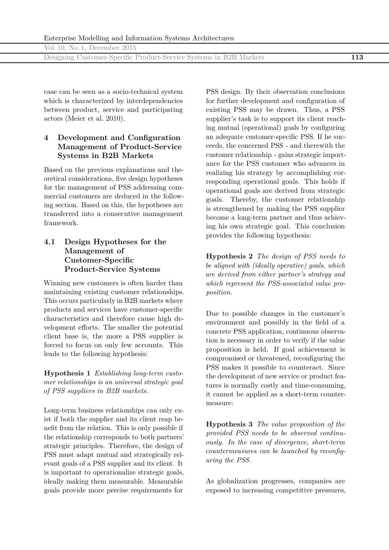Designing Customer-Specific Product-Service Systems in B2B Markets **113**

case can be seen as a socio-technical system which is characterized by interdependencies between product, service and participating actors (Meier et al. 2010).

# **4 Development and Configuration Management of Product-Service Systems in B2B Markets**

Based on the previous explanations and theoretical considerations, five design hypotheses for the management of PSS addressing commercial customers are deduced in the following section. Based on this, the hypotheses are transferred into a consecutive management framework.

# **4.1 Design Hypotheses for the Management of Customer-Specific Product-Service Systems**

Winning new customers is often harder than maintaining existing customer relationships. This occurs particularly in B2B markets where products and services have customer-specific characteristics and therefore cause high development efforts. The smaller the potential client base is, the more a PSS supplier is forced to focus on only few accounts. This leads to the following hypothesis:

**Hypothesis 1** *Establishing long-term customer relationships is an universal strategic goal of PSS suppliers in B2B markets.*

Long-term business relationships can only exist if both the supplier and its client reap benefit from the relation. This is only possible if the relationship corresponds to both partners' strategic principles. Therefore, the design of PSS must adapt mutual and strategically relevant goals of a PSS supplier and its client. It is important to operationalize strategic goals, ideally making them measurable. Measurable goals provide more precise requirements for

PSS design. By their observation conclusions for further development and configuration of existing PSS may be drawn. Thus, a PSS supplier's task is to support its client reaching mutual (operational) goals by configuring an adequate customer-specific PSS. If he succeeds, the concerned PSS - and therewith the customer relationship - gains strategic importance for the PSS customer who advances in realizing his strategy by accomplishing corresponding operational goals. This holds if operational goals are derived from strategic goals. Thereby, the customer relationship is strengthened by making the PSS supplier become a long-term partner and thus achieving his own strategic goal. This conclusion provides the following hypothesis:

**Hypothesis 2** *The design of PSS needs to be aligned with (ideally operative) goals, which are derived from either partner's strategy and which represent the PSS-associated value proposition.*

Due to possible changes in the customer's environment and possibly in the field of a concrete PSS application, continuous observation is necessary in order to verify if the value proposition is held. If goal achievement is compromised or threatened, reconfiguring the PSS makes it possible to counteract. Since the development of new service or product features is normally costly and time-consuming, it cannot be applied as a short-term countermeasure:

**Hypothesis 3** *The value proposition of the provided PSS needs to be observed continuously. In the case of divergence, short-term countermeasures can be launched by reconfiguring the PSS.*

As globalization progresses, companies are exposed to increasing competitive pressures,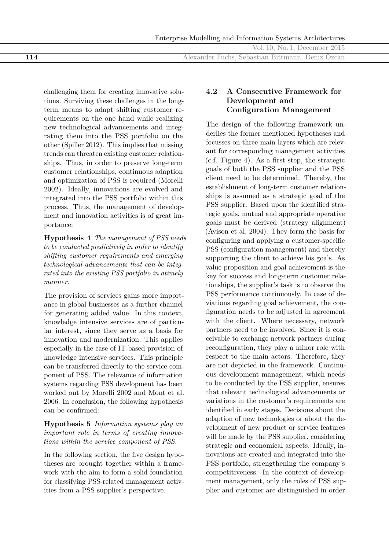Enterprise Modelling and Information Systems Architectures

Vol. 10, No. 1, December 2015

**114** Alexander Fuchs, Sebastian Bittmann, Deniz Özcan

challenging them for creating innovative solutions. Surviving these challenges in the longterm means to adapt shifting customer requirements on the one hand while realizing new technological advancements and integrating them into the PSS portfolio on the other (Spiller 2012). This implies that missing trends can threaten existing customer relationships. Thus, in order to preserve long-term customer relationships, continuous adaption and optimization of PSS is required (Morelli 2002). Ideally, innovations are evolved and integrated into the PSS portfolio within this process. Thus, the management of development and innovation activities is of great importance:

**Hypothesis 4** *The management of PSS needs to be conducted predictively in order to identify shifting customer requirements and emerging technological advancements that can be integrated into the existing PSS portfolio in atimely manner.*

The provision of services gains more importance in global businesses as a further channel for generating added value. In this context, knowledge intensive services are of particular interest, since they serve as a basis for innovation and modernization. This applies especially in the case of IT-based provision of knowledge intensive services. This principle can be transferred directly to the service component of PSS. The relevance of information systems regarding PSS development has been worked out by Morelli 2002 and Mont et al. 2006. In conclusion, the following hypothesis can be confirmed:

## **Hypothesis 5** *Information systems play an important role in terms of creating innovations within the service component of PSS.*

In the following section, the five design hypotheses are brought together within a framework with the aim to form a solid foundation for classifying PSS-related management activities from a PSS supplier's perspective.

# **4.2 A Consecutive Framework for Development and Configuration Management**

The design of the following framework underlies the former mentioned hypotheses and focusses on three main layers which are relevant for corresponding management activities (c.f. Figure 4). As a first step, the strategic goals of both the PSS supplier and the PSS client need to be determined. Thereby, the establishment of long-term customer relationships is assumed as a strategic goal of the PSS supplier. Based upon the identified strategic goals, mutual and appropriate operative goals must be derived (strategy alignment) (Avison et al. 2004). They form the basis for configuring and applying a customer-specific PSS (configuration management) and thereby supporting the client to achieve his goals. As value proposition and goal achievement is the key for success and long-term customer relationships, the supplier's task is to observe the PSS performance continuously. In case of deviations regarding goal achievement, the configuration needs to be adjusted in agreement with the client. Where necessary, network partners need to be involved. Since it is conceivable to exchange network partners during reconfiguration, they play a minor role with respect to the main actors. Therefore, they are not depicted in the framework. Continuous development management, which needs to be conducted by the PSS supplier, ensures that relevant technological advancements or variations in the customer's requirements are identified in early stages. Decisions about the adaption of new technologies or about the development of new product or service features will be made by the PSS supplier, considering strategic and economical aspects. Ideally, innovations are created and integrated into the PSS portfolio, strengthening the company's competitiveness. In the context of development management, only the roles of PSS supplier and customer are distinguished in order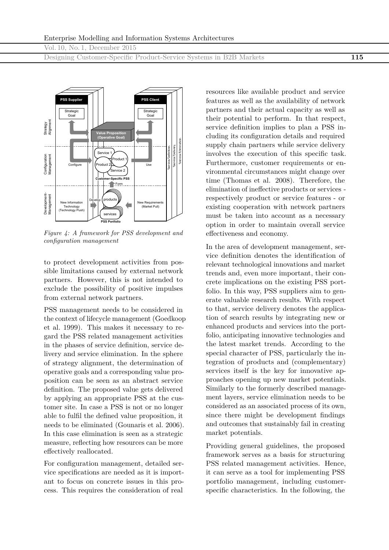Designing Customer-Specific Product-Service Systems in B2B Markets **115**



*Figure 4: A framework for PSS development and configuration management*

to protect development activities from possible limitations caused by external network partners. However, this is not intended to exclude the possibility of positive impulses from external network partners.

PSS management needs to be considered in the context of lifecycle management (Goedkoop et al. 1999). This makes it necessary to regard the PSS related management activities in the phases of service definition, service delivery and service elimination. In the sphere of strategy alignment, the determination of operative goals and a corresponding value proposition can be seen as an abstract service definition. The proposed value gets delivered by applying an appropriate PSS at the customer site. In case a PSS is not or no longer able to fulfil the defined value proposition, it needs to be eliminated (Gounaris et al. 2006). In this case elimination is seen as a strategic measure, reflecting how resources can be more effectively reallocated.

For configuration management, detailed service specifications are needed as it is important to focus on concrete issues in this process. This requires the consideration of real

resources like available product and service features as well as the availability of network partners and their actual capacity as well as their potential to perform. In that respect, service definition implies to plan a PSS including its configuration details and required supply chain partners while service delivery involves the execution of this specific task. Furthermore, customer requirements or environmental circumstances might change over time (Thomas et al. 2008). Therefore, the elimination of ineffective products or services respectively product or service features - or existing cooperation with network partners must be taken into account as a necessary option in order to maintain overall service effectiveness and economy.

In the area of development management, service definition denotes the identification of relevant technological innovations and market trends and, even more important, their concrete implications on the existing PSS portfolio. In this way, PSS suppliers aim to generate valuable research results. With respect to that, service delivery denotes the application of search results by integrating new or enhanced products and services into the portfolio, anticipating innovative technologies and the latest market trends. According to the special character of PSS, particularly the integration of products and (complementary) services itself is the key for innovative approaches opening up new market potentials. Similarly to the formerly described management layers, service elimination needs to be considered as an associated process of its own, since there might be development findings and outcomes that sustainably fail in creating market potentials.

Providing general guidelines, the proposed framework serves as a basis for structuring PSS related management activities. Hence, it can serve as a tool for implementing PSS portfolio management, including customerspecific characteristics. In the following, the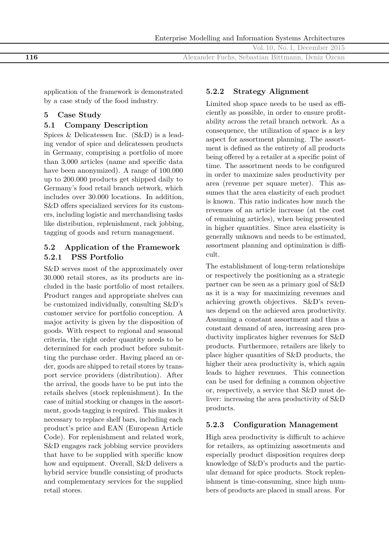|  |  |  |  |  | Enterprise Modelling and Information Systems Architectures |
|--|--|--|--|--|------------------------------------------------------------|
|--|--|--|--|--|------------------------------------------------------------|

Vol. 10, No. 1, December 2015 **116** Alexander Fuchs, Sebastian Bittmann, Deniz Özcan

application of the framework is demonstrated by a case study of the food industry.

# **5 Case Study**

# **5.1 Company Description**

Spices & Delicatessen Inc. (S&D) is a leading vendor of spice and delicatessen products in Germany, comprising a portfolio of more than 3.000 articles (name and specific data have been anonymized). A range of 100.000 up to 200.000 products get shipped daily to Germany's food retail branch network, which includes over 30.000 locations. In addition, S&D offers specialized services for its customers, including logistic and merchandising tasks like distribution, replenishment, rack jobbing, tagging of goods and return management.

# **5.2 Application of the Framework 5.2.1 PSS Portfolio**

S&D serves most of the approximately over 30.000 retail stores, as its products are included in the basic portfolio of most retailers. Product ranges and appropriate shelves can be customized individually, consulting S&D's customer service for portfolio conception. A major activity is given by the disposition of goods. With respect to regional and seasonal criteria, the right order quantity needs to be determined for each product before submitting the purchase order. Having placed an order, goods are shipped to retail stores by transport service providers (distribution). After the arrival, the goods have to be put into the retails shelves (stock replenishment). In the case of initial stocking or changes in the assortment, goods tagging is required. This makes it necessary to replace shelf bars, including each product's price and EAN (European Article Code). For replenishment and related work, S&D engages rack jobbing service providers that have to be supplied with specific know how and equipment. Overall, S&D delivers a hybrid service bundle consisting of products and complementary services for the supplied retail stores.

# **5.2.2 Strategy Alignment**

Limited shop space needs to be used as efficiently as possible, in order to ensure profitability across the retail branch network. As a consequence, the utilization of space is a key aspect for assortment planning. The assortment is defined as the entirety of all products being offered by a retailer at a specific point of time. The assortment needs to be configured in order to maximize sales productivity per area (revenue per square meter). This assumes that the area elasticity of each product is known. This ratio indicates how much the revenues of an article increase (at the cost of remaining articles), when being presented in higher quantities. Since area elasticity is generally unknown and needs to be estimated, assortment planning and optimization is difficult.

The establishment of long-term relationships or respectively the positioning as a strategic partner can be seen as a primary goal of S&D as it is a way for maximizing revenues and achieving growth objectives. S&D's revenues depend on the achieved area productivity. Assuming a constant assortment and thus a constant demand of area, increasing area productivity implicates higher revenues for S&D products. Furthermore, retailers are likely to place higher quantities of S&D products, the higher their area productivity is, which again leads to higher revenues. This connection can be used for defining a common objective or, respectively, a service that S&D must deliver: increasing the area productivity of S&D products.

# **5.2.3 Configuration Management**

High area productivity is difficult to achieve for retailers, as optimizing assortments and especially product disposition requires deep knowledge of S&D's products and the particular demand for spice products. Stock replenishment is time-consuming, since high numbers of products are placed in small areas. For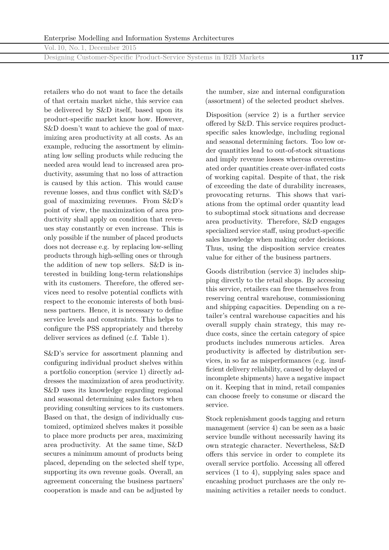Designing Customer-Specific Product-Service Systems in B2B Markets **117**

retailers who do not want to face the details of that certain market niche, this service can be delivered by S&D itself, based upon its product-specific market know how. However, S&D doesn't want to achieve the goal of maximizing area productivity at all costs. As an example, reducing the assortment by eliminating low selling products while reducing the needed area would lead to increased area productivity, assuming that no loss of attraction is caused by this action. This would cause revenue losses, and thus conflict with S&D's goal of maximizing revenues. From S&D's point of view, the maximization of area productivity shall apply on condition that revenues stay constantly or even increase. This is only possible if the number of placed products does not decrease e.g. by replacing low-selling products through high-selling ones or through the addition of new top sellers. S&D is interested in building long-term relationships with its customers. Therefore, the offered services need to resolve potential conflicts with respect to the economic interests of both business partners. Hence, it is necessary to define service levels and constraints. This helps to configure the PSS appropriately and thereby deliver services as defined (c.f. Table 1).

S&D's service for assortment planning and configuring individual product shelves within a portfolio conception (service 1) directly addresses the maximization of area productivity. S&D uses its knowledge regarding regional and seasonal determining sales factors when providing consulting services to its customers. Based on that, the design of individually customized, optimized shelves makes it possible to place more products per area, maximizing area productivity. At the same time, S&D secures a minimum amount of products being placed, depending on the selected shelf type, supporting its own revenue goals. Overall, an agreement concerning the business partners' cooperation is made and can be adjusted by

the number, size and internal configuration (assortment) of the selected product shelves.

Disposition (service 2) is a further service offered by S&D. This service requires productspecific sales knowledge, including regional and seasonal determining factors. Too low order quantities lead to out-of-stock situations and imply revenue losses whereas overestimated order quantities create over-inflated costs of working capital. Despite of that, the risk of exceeding the date of durability increases, provocating returns. This shows that variations from the optimal order quantity lead to suboptimal stock situations and decrease area productivity. Therefore, S&D engages specialized service staff, using product-specific sales knowledge when making order decisions. Thus, using the disposition service creates value for either of the business partners.

Goods distribution (service 3) includes shipping directly to the retail shops. By accessing this service, retailers can free themselves from reserving central warehouse, commissioning and shipping capacities. Depending on a retailer's central warehouse capacities and his overall supply chain strategy, this may reduce costs, since the certain category of spice products includes numerous articles. Area productivity is affected by distribution services, in so far as misperformances (e.g. insufficient delivery reliability, caused by delayed or incomplete shipments) have a negative impact on it. Keeping that in mind, retail companies can choose freely to consume or discard the service.

Stock replenishment goods tagging and return management (service 4) can be seen as a basic service bundle without necessarily having its own strategic character. Nevertheless, S&D offers this service in order to complete its overall service portfolio. Accessing all offered services (1 to 4), supplying sales space and encashing product purchases are the only remaining activities a retailer needs to conduct.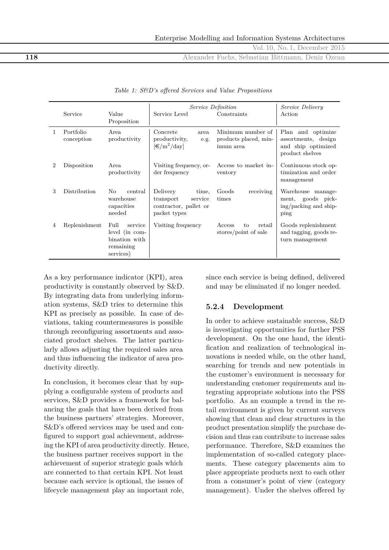**118** Alexander Fuchs, Sebastian Bittmann, Deniz Özcan

|   |                         |                                                                              |                                                                                    | Service Definition                                      | <i>Service Delivery</i>                                                           |
|---|-------------------------|------------------------------------------------------------------------------|------------------------------------------------------------------------------------|---------------------------------------------------------|-----------------------------------------------------------------------------------|
|   | Service                 | Value<br>Proposition                                                         | Service Level                                                                      | Constraints                                             | Action                                                                            |
|   |                         |                                                                              |                                                                                    |                                                         |                                                                                   |
| 1 | Portfolio<br>conception | Area<br>productivity                                                         | Concrete<br>area<br>productivity,<br>e.g.<br>$\left[\frac{1}{2}\right]$ /day       | Minimum number of<br>products placed, min-<br>imum area | Plan and optimize<br>assortments, design<br>and ship optimized<br>product shelves |
| 2 | Disposition             | Area<br>productivity                                                         | Visiting frequency, or-<br>der frequency                                           | Access to market in-<br>ventory                         | Continuous stock op-<br>timization and order<br>management                        |
| 3 | <b>Distribution</b>     | $\rm No$<br>central<br>warehouse<br>capacities<br>needed                     | Delivery<br>time,<br>transport<br>service<br>contractor, pallet or<br>packet types | Goods<br>receiving<br>times                             | Warehouse manage-<br>ment, goods pick-<br>ing/packing and ship-<br>ping           |
| 4 | Replenishment           | Full<br>service<br>level (in com-<br>bination with<br>remaining<br>services) | Visiting frequency                                                                 | Access<br>retail<br>to<br>stores/point of sale          | Goods replenishment<br>and tagging, goods re-<br>turn management                  |

|  |  |  |  |  |  |  | Table 1: S&D's offered Services and Value Propositions |
|--|--|--|--|--|--|--|--------------------------------------------------------|
|--|--|--|--|--|--|--|--------------------------------------------------------|

As a key performance indicator (KPI), area productivity is constantly observed by S&D. By integrating data from underlying information systems, S&D tries to determine this KPI as precisely as possible. In case of deviations, taking countermeasures is possible through reconfiguring assortments and associated product shelves. The latter particularly allows adjusting the required sales area and thus influencing the indicator of area productivity directly.

In conclusion, it becomes clear that by supplying a configurable system of products and services, S&D provides a framework for balancing the goals that have been derived from the business partners' strategies. Moreover, S&D's offered services may be used and configured to support goal achievement, addressing the KPI of area productivity directly. Hence, the business partner receives support in the achievement of superior strategic goals which are connected to that certain KPI. Not least because each service is optional, the issues of lifecycle management play an important role,

since each service is being defined, delivered and may be eliminated if no longer needed.

#### **5.2.4 Development**

In order to achieve sustainable success, S&D is investigating opportunities for further PSS development. On the one hand, the identification and realization of technological innovations is needed while, on the other hand, searching for trends and new potentials in the customer's environment is necessary for understanding customer requirements and integrating appropriate solutions into the PSS portfolio. As an example a trend in the retail environment is given by current surveys showing that clean and clear structures in the product presentation simplify the purchase decision and thus can contribute to increase sales performance. Therefore, S&D examines the implementation of so-called category placements. These category placements aim to place appropriate products next to each other from a consumer's point of view (category management). Under the shelves offered by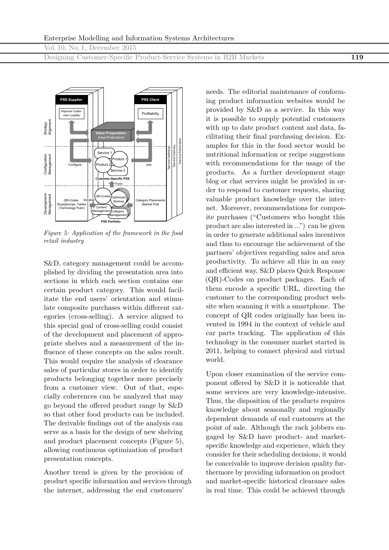Designing Customer-Specific Product-Service Systems in B2B Markets **119**



*Figure 5: Application of the framework in the food retail industry*

S&D, category management could be accomplished by dividing the presentation area into sections in which each section contains one certain product category. This would facilitate the end users' orientation and stimulate composite purchases within different categories (cross-selling). A service aligned to this special goal of cross-selling could consist of the development and placement of appropriate shelves and a measurement of the influence of these concepts on the sales result. This would require the analysis of clearance sales of particular stores in order to identify products belonging together more precisely from a customer view. Out of that, especially coherences can be analyzed that may go beyond the offered product range by S&D so that other food products can be included. The derivable findings out of the analysis can serve as a basis for the design of new shelving and product placement concepts (Figure 5), allowing continuous optimization of product presentation concepts.

Another trend is given by the provision of product specific information and services through the internet, addressing the end customers'

needs. The editorial maintenance of conforming product information websites would be provided by S&D as a service. In this way it is possible to supply potential customers with up to date product content and data, facilitating their final purchasing decision. Examples for this in the food sector would be nutritional information or recipe suggestions with recommendations for the usage of the products. As a further development stage blog or chat services might be provided in order to respond to customer requests, sharing valuable product knowledge over the internet. Moreover, recommendations for composite purchases ("Customers who bought this product are also interested in ...") can be given in order to generate additional sales incentives and thus to encourage the achievement of the partners' objectives regarding sales and area productivity. To achieve all this in an easy and efficient way, S&D places Quick Response (QR)-Codes on product packages. Each of them encode a specific URL, directing the customer to the corresponding product website when scanning it with a smartphone. The concept of QR codes originally has been invented in 1994 in the context of vehicle and car parts tracking. The application of this technology in the consumer market started in 2011, helping to connect physical and virtual world.

Upon closer examination of the service component offered by S&D it is noticeable that some services are very knowledge-intensive. Thus, the disposition of the products requires knowledge about seasonally and regionally dependent demands of end customers at the point of sale. Although the rack jobbers engaged by S&D have product- and marketspecific knowledge and experience, which they consider for their scheduling decisions, it would be conceivable to improve decision quality furthermore by providing information on product and market-specific historical clearance sales in real time. This could be achieved through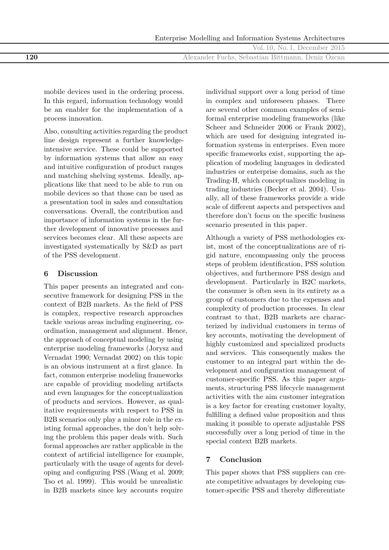|     | Enterprise Modelling and Information Systems Architectures |
|-----|------------------------------------------------------------|
|     | Vol. 10, No. 1, December 2015                              |
| 120 | Alexander Fuchs, Sebastian Bittmann, Deniz Özcan           |

mobile devices used in the ordering process. In this regard, information technology would be an enabler for the implementation of a process innovation.

Also, consulting activities regarding the product line design represent a further knowledgeintensive service. These could be supported by information systems that allow an easy and intuitive configuration of product ranges and matching shelving systems. Ideally, applications like that need to be able to run on mobile devices so that those can be used as a presentation tool in sales and consultation conversations. Overall, the contribution and importance of information systems in the further development of innovative processes and services becomes clear. All these aspects are investigated systematically by S&D as part of the PSS development.

### **6 Discussion**

This paper presents an integrated and consecutive framework for designing PSS in the context of B2B markets. As the field of PSS is complex, respective research approaches tackle various areas including engineering, coordination, management and alignment. Hence, the approach of conceptual modeling by using enterprise modeling frameworks (Jorysz and Vernadat 1990; Vernadat 2002) on this topic is an obvious instrument at a first glance. In fact, common enterprise modeling frameworks are capable of providing modeling artifacts and even languages for the conceptualization of products and services. However, as qualitative requirements with respect to PSS in B2B scenarios only play a minor role in the existing formal approaches, the don't help solving the problem this paper deals with. Such formal approaches are rather applicable in the context of artificial intelligence for example, particularly with the usage of agents for developing and configuring PSS (Wang et al. 2009; Tso et al. 1999). This would be unrealistic in B2B markets since key accounts require

individual support over a long period of time in complex and unforeseen phases. There are several other common examples of semiformal enterprise modeling frameworks (like Scheer and Schneider 2006 or Frank 2002), which are used for designing integrated information systems in enterprises. Even more specific frameworks exist, supporting the application of modeling languages in dedicated industries or enterprise domains, such as the Trading-H, which conceptualizes modeling in trading industries (Becker et al. 2004). Usually, all of these frameworks provide a wide scale of different aspects and perspectives and therefore don't focus on the specific business scenario presented in this paper.

Although a variety of PSS methodologies exist, most of the conceptualizations are of rigid nature, encompassing only the process steps of problem identification, PSS solution objectives, and furthermore PSS design and development. Particularly in B2C markets, the consumer is often seen in its entirety as a group of customers due to the expenses and complexity of production processes. In clear contrast to that, B2B markets are characterized by individual customers in terms of key accounts, motivating the development of highly customized and specialized products and services. This consequently makes the customer to an integral part within the development and configuration management of customer-specific PSS. As this paper arguments, structuring PSS lifecycle management activities with the aim customer integration is a key factor for creating customer loyalty, fulfilling a defined value proposition and thus making it possible to operate adjustable PSS successfully over a long period of time in the special context B2B markets.

# **7 Conclusion**

This paper shows that PSS suppliers can create competitive advantages by developing customer-specific PSS and thereby differentiate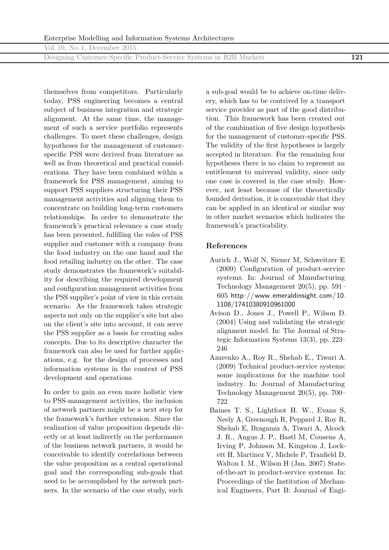Designing Customer-Specific Product-Service Systems in B2B Markets **121**

themselves from competitors. Particularly today, PSS engineering becomes a central subject of business integration and strategic alignment. At the same time, the management of such a service portfolio represents challenges. To meet these challenges, design hypotheses for the management of customerspecific PSS were derived from literature as well as from theoretical and practical considerations. They have been combined within a framework for PSS management, aiming to support PSS suppliers structuring their PSS management activities and aligning them to concentrate on building long-term customers relationships. In order to demonstrate the framework's practical relevance a case study has been presented, fulfilling the roles of PSS supplier and customer with a company from the food industry on the one hand and the food retailing industry on the other. The case study demonstrates the framework's suitability for describing the required development and configuration management activities from the PSS supplier's point of view in this certain scenario. As the framework takes strategic aspects not only on the supplier's site but also on the client's site into account, it can serve the PSS supplier as a basis for creating sales concepts. Due to its descriptive character the framework can also be used for further applications, e.g. for the design of processes and information systems in the context of PSS development and operations.

In order to gain an even more holistic view to PSS-management activities, the inclusion of network partners might be a next step for the framework's further extension. Since the realization of value proposition depends directly or at least indirectly on the performance of the business network partners, it would be conceivable to identify correlations between the value proposition as a central operational goal and the corresponding sub-goals that need to be accomplished by the network partners. In the scenario of the case study, such

a sub-goal would be to achieve on-time delivery, which has to be contrived by a transport service provider as part of the good distribution. This framework has been created out of the combination of five design hypothesis for the management of customer-specific PSS. The validity of the first hypotheses is largely accepted in literature. For the remaining four hypotheses there is no claim to represent an entitlement to universal validity, since only one case is covered in the case study. However, not least because of the theoretically founded derivation, it is conceivable that they can be applied in an identical or similar way in other market scenarios which indicates the framework's practicability.

## **References**

- Aurich J., Wolf N, Siener M, Schweitzer E (2009) Configuration of product-service systems. In: Journal of Manufacturing Technology Management 20(5), pp. 591– 605 [http://www.emeraldinsight.com/10.](http://www.emeraldinsight.com/10.1108/17410380910961000) [1108/17410380910961000](http://www.emeraldinsight.com/10.1108/17410380910961000)
- Avison D., Jones J., Powell P., Wilson D. (2004) Using and validating the strategic alignment model. In: The Journal of Strategic Information Systems 13(3), pp. 223– 246
- Azarenko A., Roy R., Shehab E., Tiwari A. (2009) Technical product-service systems: some implications for the machine tool industry. In: Journal of Manufacturing Technology Management 20(5), pp. 700– 722
- Baines T. S., Lightfoot H. W., Evans S, Neely A, Greenough R, Peppard J, Roy R, Shehab E, Braganza A, Tiwari A, Alcock J. R., Angus J. P., Bastl M, Cousens A, Irving P, Johnson M, Kingston J, Lockett H, Martinez V, Michele P, Tranfield D, Walton I. M., Wilson H (Jan. 2007) Stateof-the-art in product-service systems. In: Proceedings of the Institution of Mechanical Engineers, Part B: Journal of Engi-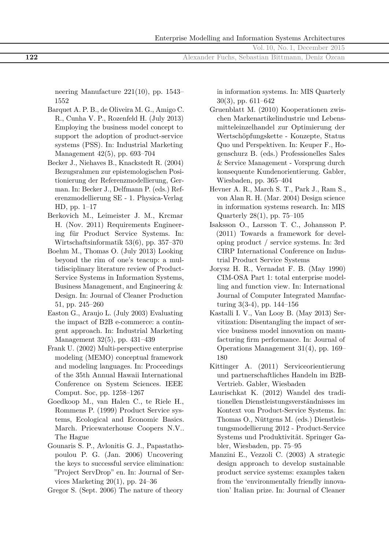neering Manufacture 221(10), pp. 1543– 1552

- Barquet A. P. B., de Oliveira M. G., Amigo C. R., Cunha V. P., Rozenfeld H. (July 2013) Employing the business model concept to support the adoption of product-service systems (PSS). In: Industrial Marketing Management 42(5), pp. 693–704
- Becker J., Niehaves B., Knackstedt R. (2004) Bezugsrahmen zur epistemologischen Positionierung der Referenzmodellierung, German. In: Becker J., Delfmann P. (eds.) Referenzmodellierung SE - 1. Physica-Verlag HD, pp. 1–17
- Berkovich M., Leimeister J. M., Krcmar H. (Nov. 2011) Requirements Engineering für Product Service Systems. In: Wirtschaftsinformatik 53(6), pp. 357–370
- Boehm M., Thomas O. (July 2013) Looking beyond the rim of one's teacup: a multidisciplinary literature review of Product-Service Systems in Information Systems, Business Management, and Engineering & Design. In: Journal of Cleaner Production 51, pp. 245–260
- Easton G., Araujo L. (July 2003) Evaluating the impact of B2B e-commerce: a contingent approach. In: Industrial Marketing Management 32(5), pp. 431–439
- Frank U. (2002) Multi-perspective enterprise modeling (MEMO) conceptual framework and modeling languages. In: Proceedings of the 35th Annual Hawaii International Conference on System Sciences. IEEE Comput. Soc, pp. 1258–1267
- Goedkoop M., van Halen C., te Riele H., Rommens P. (1999) Product Service systems, Ecological and Economic Basics. March. Pricewaterhouse Coopers N.V.. The Hague
- Gounaris S. P., Avlonitis G. J., Papastathopoulou P. G. (Jan. 2006) Uncovering the keys to successful service elimination: "Project ServDrop" en. In: Journal of Services Marketing 20(1), pp. 24–36
- Gregor S. (Sept. 2006) The nature of theory

in information systems. In: MIS Quarterly 30(3), pp. 611–642

- Gruenblatt M. (2010) Kooperationen zwischen Markenartikelindustrie und Lebensmitteleinzelhandel zur Optimierung der Wertschöpfungskette - Konzepte, Status Quo und Perspektiven. In: Keuper F., Hogenschurz B. (eds.) Professionelles Sales & Service Management - Vorsprung durch konsequente Kundenorientierung. Gabler, Wiesbaden, pp. 365–404
- Hevner A. R., March S. T., Park J., Ram S., von Alan R. H. (Mar. 2004) Design science in information systems research. In: MIS Quarterly 28(1), pp. 75–105
- Isaksson O., Larsson T. C., Johansson P. (2011) Towards a framework for developing product / service systems. In: 3rd CIRP International Conference on Industrial Product Service Systems
- Jorysz H. R., Vernadat F. B. (May 1990) CIM-OSA Part 1: total enterprise modelling and function view. In: International Journal of Computer Integrated Manufacturing 3(3-4), pp. 144–156
- Kastalli I. V., Van Looy B. (May 2013) Servitization: Disentangling the impact of service business model innovation on manufacturing firm performance. In: Journal of Operations Management 31(4), pp. 169– 180
- Kittinger A. (2011) Serviceorientierung und partnerschaftliches Handeln im B2B-Vertrieb. Gabler, Wiesbaden
- Laurischkat K. (2012) Wandel des traditionellen Dienstleistungsverständnisses im Kontext von Product-Service Systems. In: Thomas O., Nüttgens M. (eds.) Dienstleistungsmodellierung 2012 - Product-Service Systems und Produktivität. Springer Gabler, Wiesbaden, pp. 75–95
- Manzini E., Vezzoli C. (2003) A strategic design approach to develop sustainable product service systems: examples taken from the 'environmentally friendly innovation' Italian prize. In: Journal of Cleaner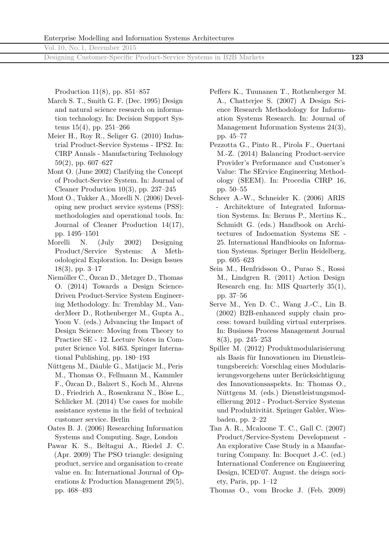Designing Customer-Specific Product-Service Systems in B2B Markets **123**

Production 11(8), pp. 851–857

- March S. T., Smith G. F. (Dec. 1995) Design and natural science research on information technology. In: Decision Support Systems 15(4), pp. 251–266
- Meier H., Roy R., Seliger G. (2010) Industrial Product-Service Systems - IPS2. In: CIRP Annals - Manufacturing Technology 59(2), pp. 607–627
- Mont O. (June 2002) Clarifying the Concept of Product-Service System. In: Journal of Cleaner Production 10(3), pp. 237–245
- Mont O., Tukker A., Morelli N. (2006) Developing new product service systems (PSS): methodologies and operational tools. In: Journal of Cleaner Production 14(17), pp. 1495–1501
- Morelli N. (July 2002) Designing Product/Service Systems: A Methodological Exploration. In: Design Issues 18(3), pp. 3–17
- Niemöller C., Özcan D., Metzger D., Thomas O. (2014) Towards a Design Science-Driven Product-Service System Engineering Methodology. In: Tremblay M., VanderMeer D., Rothenberger M., Gupta A., Yoon V. (eds.) Advancing the Impact of Design Science: Moving from Theory to Practice SE - 12. Lecture Notes in Computer Science Vol. 8463. Springer International Publishing, pp. 180–193
- Nüttgens M., Däuble G., Matijacic M., Peris M., Thomas O., Fellmann M., Kammler F., Özcan D., Balzert S., Koch M., Ahrens D., Friedrich A., Rosenkranz N., Böse L., Schlicker M. (2014) Use cases for mobile assistance systems in the field of technical customer service. Berlin
- Oates B. J. (2006) Researching Information Systems and Computing. Sage, London
- Pawar K. S., Beltagui A., Riedel J. C. (Apr. 2009) The PSO triangle: designing product, service and organisation to create value en. In: International Journal of Operations & Production Management 29(5), pp. 468–493
- Peffers K., Tuunanen T., Rothenberger M. A., Chatterjee S. (2007) A Design Science Research Methodology for Information Systems Research. In: Journal of Management Information Systems 24(3), pp. 45–77
- Pezzotta G., Pinto R., Pirola F., Ouertani M.-Z. (2014) Balancing Product-service Provider's Performance and Customer's Value: The SErvice Engineering Methodology (SEEM). In: Procedia CIRP 16, pp. 50–55
- Scheer A.-W., Schneider K. (2006) ARIS - Architekture of Integrated Information Systems. In: Bernus P., Mertins K., Schmidt G. (eds.) Handbook on Architectures of Indoemation Systems SE - 25. International Handbiooks on Information Systems. Springer Berlin Heidelberg, pp. 605–623
- Sein M., Henfridsson O., Purao S., Rossi M., Lindgren R. (2011) Action Design Research eng. In: MIS Quarterly 35(1), pp. 37–56
- Serve M., Yen D. C., Wang J.-C., Lin B. (2002) B2B-enhanced supply chain process: toward building virtual enterprises. In: Business Process Management Journal 8(3), pp. 245–253
- Spiller M. (2012) Produktmodularisierung als Basis für Innovationen im Dienstleistungsbereich: Vorschlag eines Modularisierungsvorgehens unter Berücksichtigung des Innovationsaspekts. In: Thomas O., Nüttgens M. (eds.) Dienstleistungsmodellierung 2012 - Product-Service Systems und Produktivität. Springer Gabler, Wiesbaden, pp. 2–22
- Tan A. R., Mcaloone T. C., Gall C. (2007) Product/Service-System Development - An explorative Case Study in a Manufacturing Company. In: Bocquet J.-C. (ed.) International Conference on Engineering Design, ICED'07. August. the deisgn society, Paris, pp. 1–12

Thomas O., vom Brocke J. (Feb. 2009)